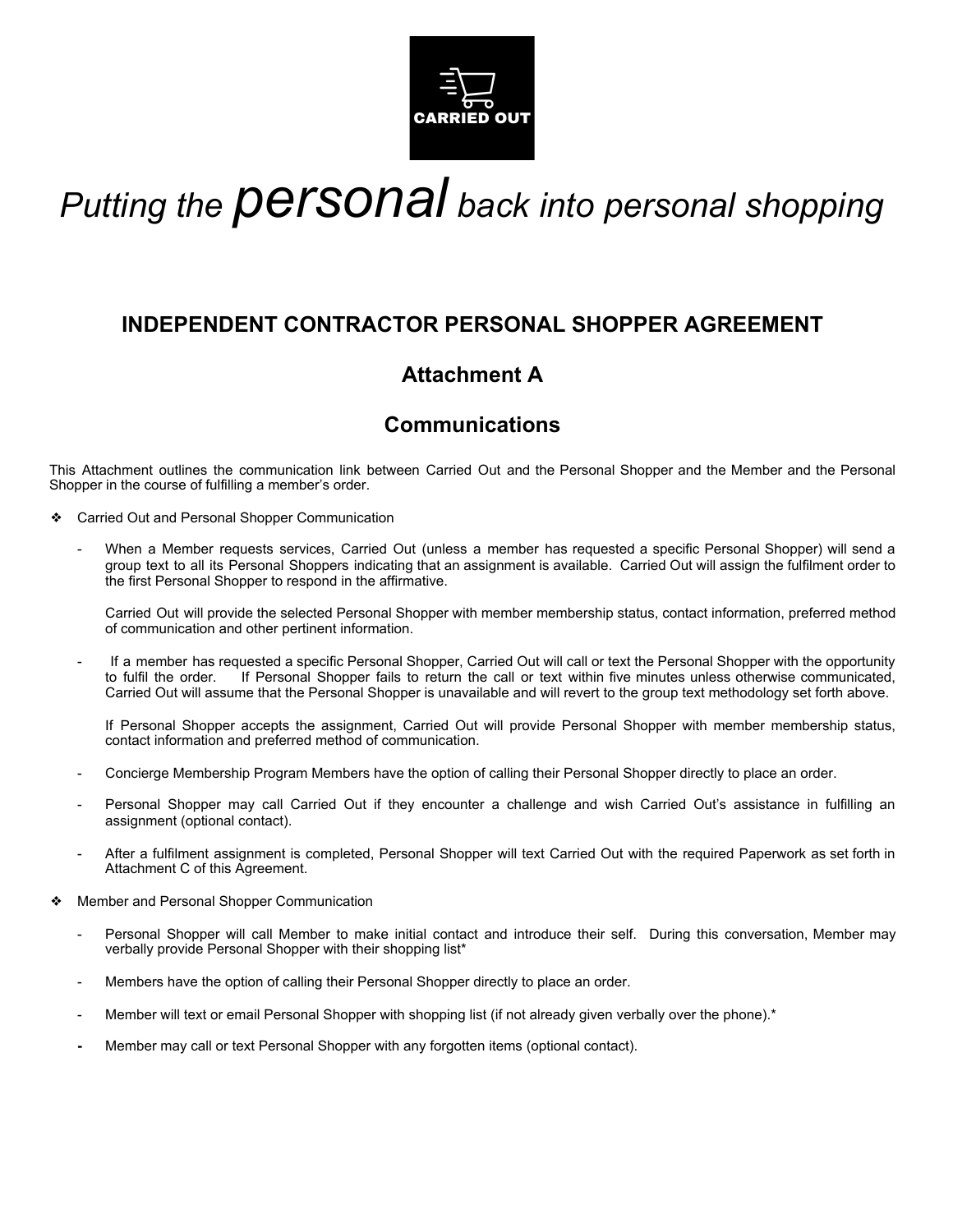

# *Putting the personal back into personal shopping*

# **INDEPENDENT CONTRACTOR PERSONAL SHOPPER AGREEMENT**

# **Attachment A**

# **Communications**

This Attachment outlines the communication link between Carried Out and the Personal Shopper and the Member and the Personal Shopper in the course of fulfilling a member's order.

- ❖ Carried Out and Personal Shopper Communication
	- When a Member requests services, Carried Out (unless a member has requested a specific Personal Shopper) will send a group text to all its Personal Shoppers indicating that an assignment is available. Carried Out will assign the fulfilment order to the first Personal Shopper to respond in the affirmative.

Carried Out will provide the selected Personal Shopper with member membership status, contact information, preferred method of communication and other pertinent information.

If a member has requested a specific Personal Shopper, Carried Out will call or text the Personal Shopper with the opportunity to fulfil the order. If Personal Shopper fails to return the call or text within five minutes unless otherwise communicated, Carried Out will assume that the Personal Shopper is unavailable and will revert to the group text methodology set forth above.

If Personal Shopper accepts the assignment, Carried Out will provide Personal Shopper with member membership status, contact information and preferred method of communication.

- Concierge Membership Program Members have the option of calling their Personal Shopper directly to place an order.
- Personal Shopper may call Carried Out if they encounter a challenge and wish Carried Out's assistance in fulfilling an assignment (optional contact).
- After a fulfilment assignment is completed, Personal Shopper will text Carried Out with the required Paperwork as set forth in Attachment C of this Agreement.
- ❖ Member and Personal Shopper Communication
	- Personal Shopper will call Member to make initial contact and introduce their self. During this conversation, Member may verbally provide Personal Shopper with their shopping list\*
	- Members have the option of calling their Personal Shopper directly to place an order.
	- Member will text or email Personal Shopper with shopping list (if not already given verbally over the phone).\*
	- **-** Member may call or text Personal Shopper with any forgotten items (optional contact).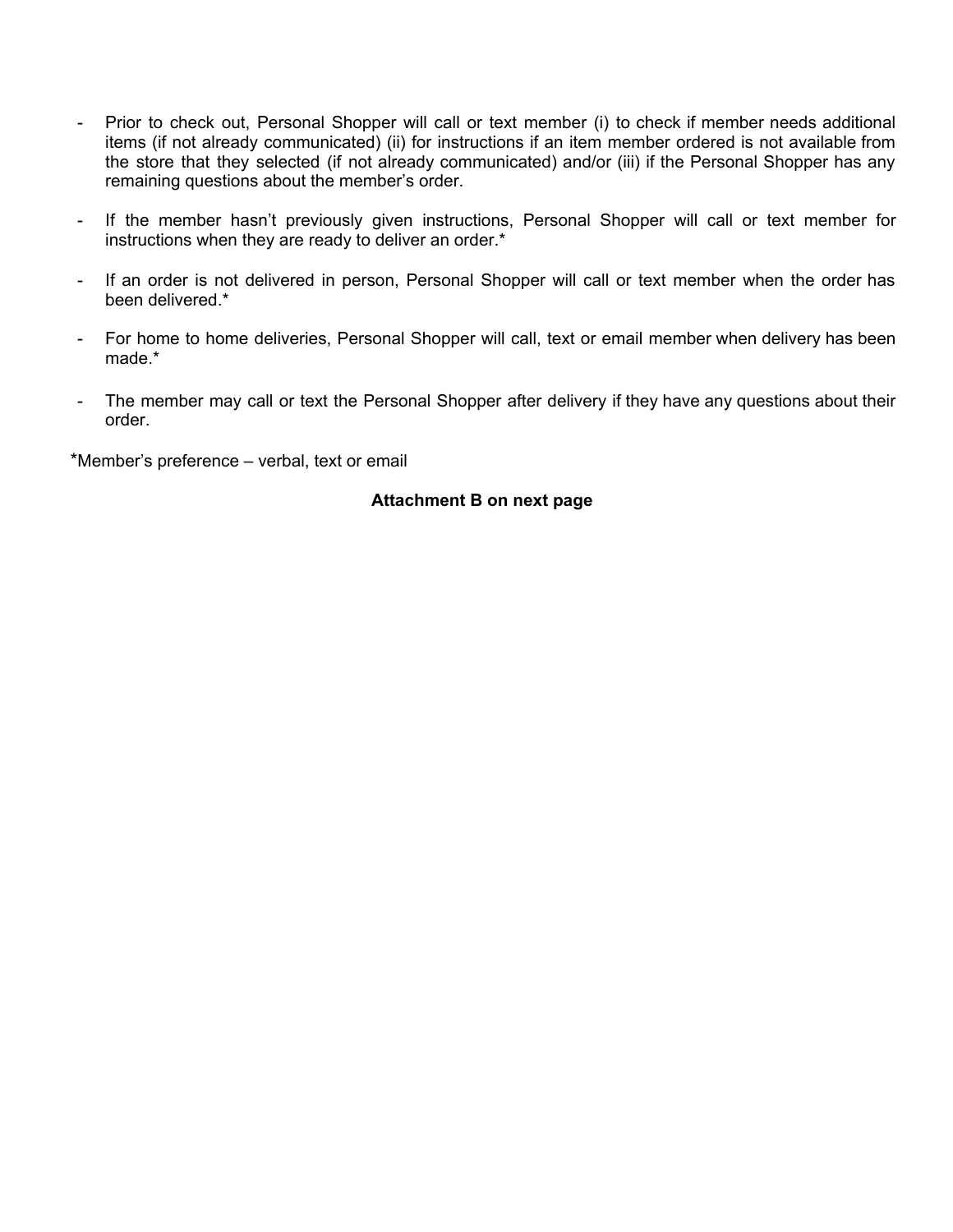- Prior to check out, Personal Shopper will call or text member (i) to check if member needs additional items (if not already communicated) (ii) for instructions if an item member ordered is not available from the store that they selected (if not already communicated) and/or (iii) if the Personal Shopper has any remaining questions about the member's order.
- If the member hasn't previously given instructions, Personal Shopper will call or text member for instructions when they are ready to deliver an order.\*
- If an order is not delivered in person, Personal Shopper will call or text member when the order has been delivered.\*
- For home to home deliveries, Personal Shopper will call, text or email member when delivery has been made.\*
- The member may call or text the Personal Shopper after delivery if they have any questions about their order.

\*Member's preference – verbal, text or email

## **Attachment B on next page**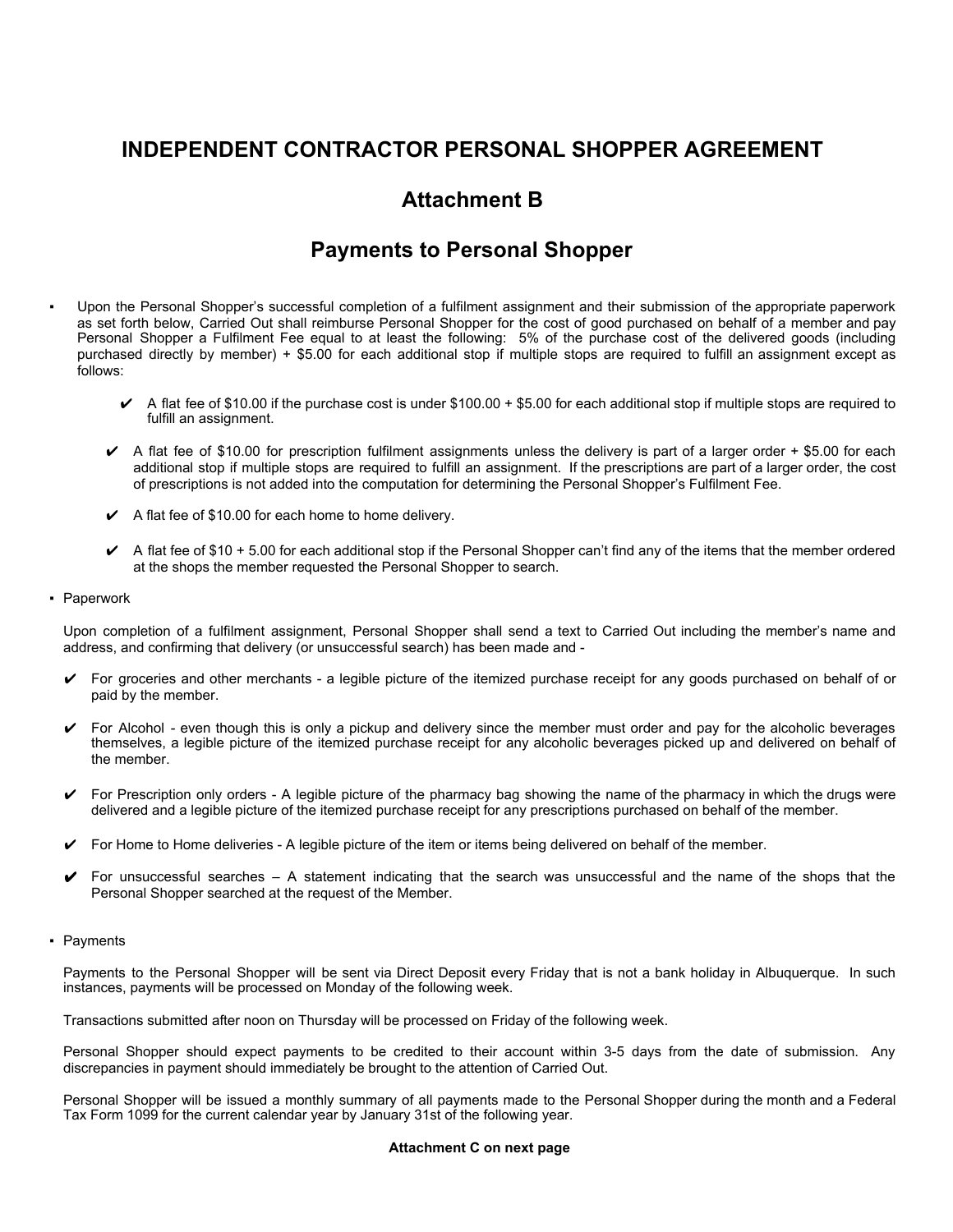## **INDEPENDENT CONTRACTOR PERSONAL SHOPPER AGREEMENT**

## **Attachment B**

## **Payments to Personal Shopper**

- Upon the Personal Shopper's successful completion of a fulfilment assignment and their submission of the appropriate paperwork as set forth below, Carried Out shall reimburse Personal Shopper for the cost of good purchased on behalf of a member and pay Personal Shopper a Fulfilment Fee equal to at least the following: 5% of the purchase cost of the delivered goods (including purchased directly by member) + \$5.00 for each additional stop if multiple stops are required to fulfill an assignment except as follows:
	- $\blacktriangleright$  A flat fee of \$10.00 if the purchase cost is under \$100.00 + \$5.00 for each additional stop if multiple stops are required to fulfill an assignment.
	- $\blacktriangleright$  A flat fee of \$10.00 for prescription fulfilment assignments unless the delivery is part of a larger order + \$5.00 for each additional stop if multiple stops are required to fulfill an assignment. If the prescriptions are part of a larger order, the cost of prescriptions is not added into the computation for determining the Personal Shopper's Fulfilment Fee.
	- $\angle$  A flat fee of \$10.00 for each home to home delivery.
	- $\blacktriangleright$  A flat fee of \$10 + 5.00 for each additional stop if the Personal Shopper can't find any of the items that the member ordered at the shops the member requested the Personal Shopper to search.
- Paperwork

Upon completion of a fulfilment assignment, Personal Shopper shall send a text to Carried Out including the member's name and address, and confirming that delivery (or unsuccessful search) has been made and -

- $\triangleright$  For groceries and other merchants a legible picture of the itemized purchase receipt for any goods purchased on behalf of or paid by the member.
- $\triangleright$  For Alcohol even though this is only a pickup and delivery since the member must order and pay for the alcoholic beverages themselves, a legible picture of the itemized purchase receipt for any alcoholic beverages picked up and delivered on behalf of the member.
- $\triangleright$  For Prescription only orders A legible picture of the pharmacy bag showing the name of the pharmacy in which the drugs were delivered and a legible picture of the itemized purchase receipt for any prescriptions purchased on behalf of the member.
- $\triangleright$  For Home to Home deliveries A legible picture of the item or items being delivered on behalf of the member.
- $\blacktriangleright$  For unsuccessful searches A statement indicating that the search was unsuccessful and the name of the shops that the Personal Shopper searched at the request of the Member.
- Payments

Payments to the Personal Shopper will be sent via Direct Deposit every Friday that is not a bank holiday in Albuquerque. In such instances, payments will be processed on Monday of the following week.

Transactions submitted after noon on Thursday will be processed on Friday of the following week.

Personal Shopper should expect payments to be credited to their account within 3-5 days from the date of submission. Any discrepancies in payment should immediately be brought to the attention of Carried Out.

Personal Shopper will be issued a monthly summary of all payments made to the Personal Shopper during the month and a Federal Tax Form 1099 for the current calendar year by January 31st of the following year.

#### **Attachment C on next page**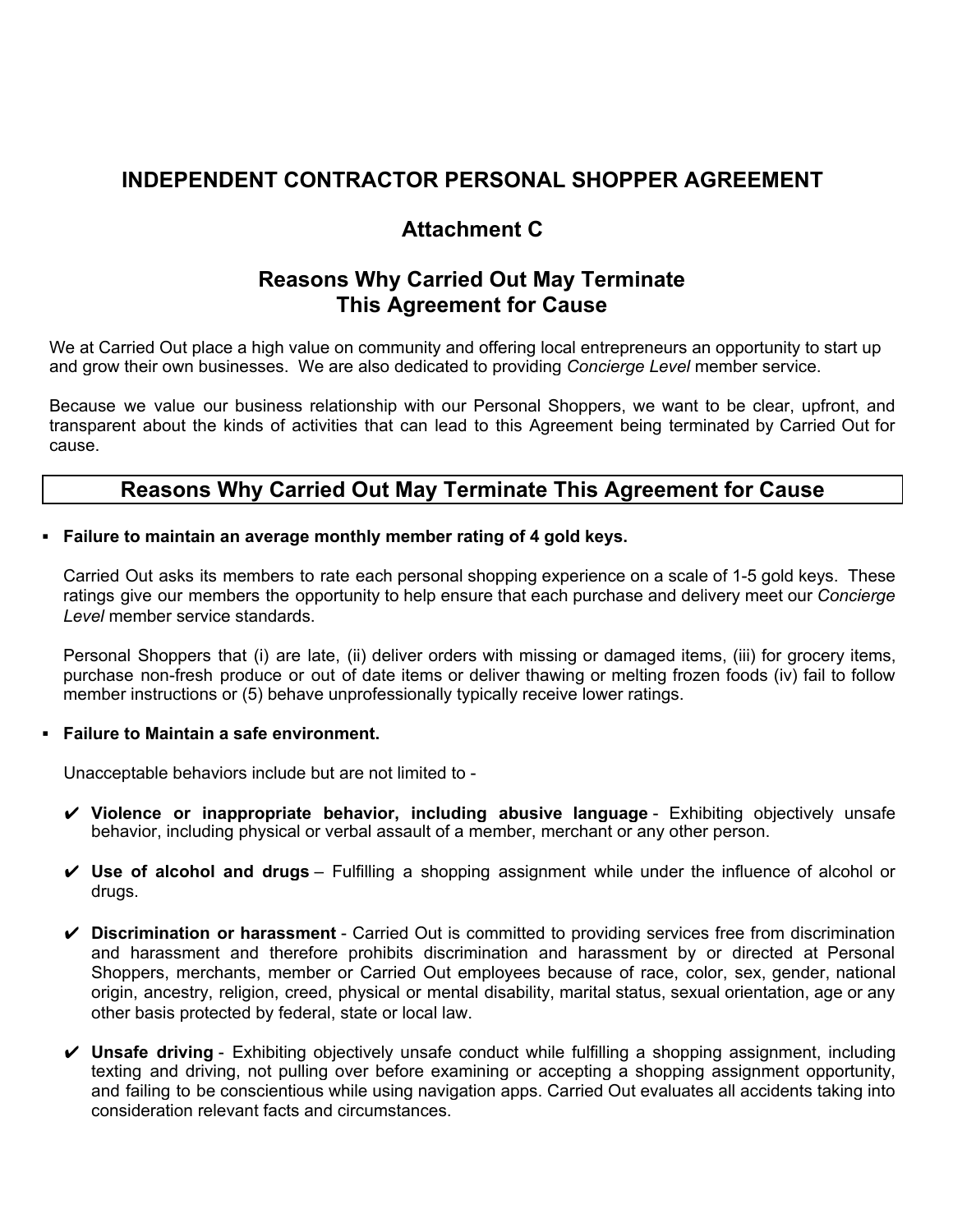## **INDEPENDENT CONTRACTOR PERSONAL SHOPPER AGREEMENT**

# **Attachment C**

## **Reasons Why Carried Out May Terminate This Agreement for Cause**

We at Carried Out place a high value on community and offering local entrepreneurs an opportunity to start up and grow their own businesses. We are also dedicated to providing *Concierge Level* member service.

Because we value our business relationship with our Personal Shoppers, we want to be clear, upfront, and transparent about the kinds of activities that can lead to this Agreement being terminated by Carried Out for cause.

## **Reasons Why Carried Out May Terminate This Agreement for Cause**

## **▪ Failure to maintain an average monthly member rating of 4 gold keys.**

Carried Out asks its members to rate each personal shopping experience on a scale of 1-5 gold keys. These ratings give our members the opportunity to help ensure that each purchase and delivery meet our *Concierge Level* member service standards.

Personal Shoppers that (i) are late, (ii) deliver orders with missing or damaged items, (iii) for grocery items, purchase non-fresh produce or out of date items or deliver thawing or melting frozen foods (iv) fail to follow member instructions or (5) behave unprofessionally typically receive lower ratings.

### **▪ Failure to Maintain a safe environment.**

Unacceptable behaviors include but are not limited to -

- ✔ **Violence or inappropriate behavior, including abusive language** Exhibiting objectively unsafe behavior, including physical or verbal assault of a member, merchant or any other person.
- ✔ **Use of alcohol and drugs** Fulfilling a shopping assignment while under the influence of alcohol or drugs.
- ✔ **Discrimination or harassment** Carried Out is committed to providing services free from discrimination and harassment and therefore prohibits discrimination and harassment by or directed at Personal Shoppers, merchants, member or Carried Out employees because of race, color, sex, gender, national origin, ancestry, religion, creed, physical or mental disability, marital status, sexual orientation, age or any other basis protected by federal, state or local law.
- ✔ **Unsafe driving** Exhibiting objectively unsafe conduct while fulfilling a shopping assignment, including texting and driving, not pulling over before examining or accepting a shopping assignment opportunity, and failing to be conscientious while using navigation apps. Carried Out evaluates all accidents taking into consideration relevant facts and circumstances.